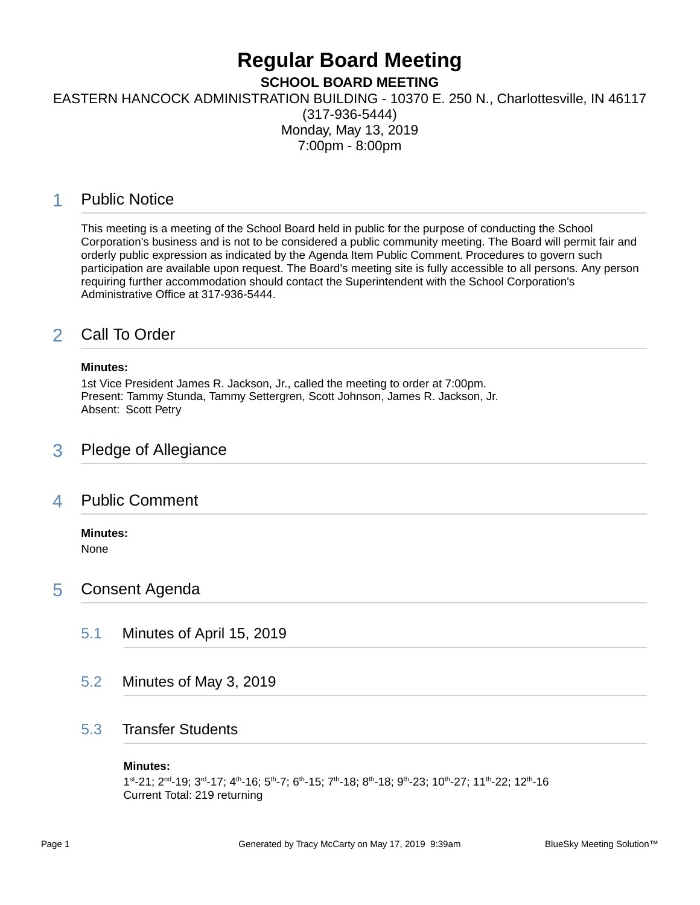## **Regular Board Meeting**

**SCHOOL BOARD MEETING**

EASTERN HANCOCK ADMINISTRATION BUILDING - 10370 E. 250 N., Charlottesville, IN 46117

(317-936-5444) Monday, May 13, 2019 7:00pm - 8:00pm

## 1 Public Notice

This meeting is a meeting of the School Board held in public for the purpose of conducting the School Corporation's business and is not to be considered a public community meeting. The Board will permit fair and orderly public expression as indicated by the Agenda Item Public Comment. Procedures to govern such participation are available upon request. The Board's meeting site is fully accessible to all persons. Any person requiring further accommodation should contact the Superintendent with the School Corporation's Administrative Office at 317-936-5444.

## 2 Call To Order

#### **Minutes:**

1st Vice President James R. Jackson, Jr., called the meeting to order at 7:00pm. Present: Tammy Stunda, Tammy Settergren, Scott Johnson, James R. Jackson, Jr. Absent: Scott Petry

## 3 Pledge of Allegiance

### 4 Public Comment

#### **Minutes:**

None

## 5 Consent Agenda

- 5.1 Minutes of April 15, 2019
- 5.2 Minutes of May 3, 2019

## 5.3 Transfer Students

#### **Minutes:**

1 st-21; 2nd-19; 3rd-17; 4th-16; 5th-7; 6th-15; 7th-18; 8th-18; 9th-23; 10th-27; 11th-22; 12th-16 Current Total: 219 returning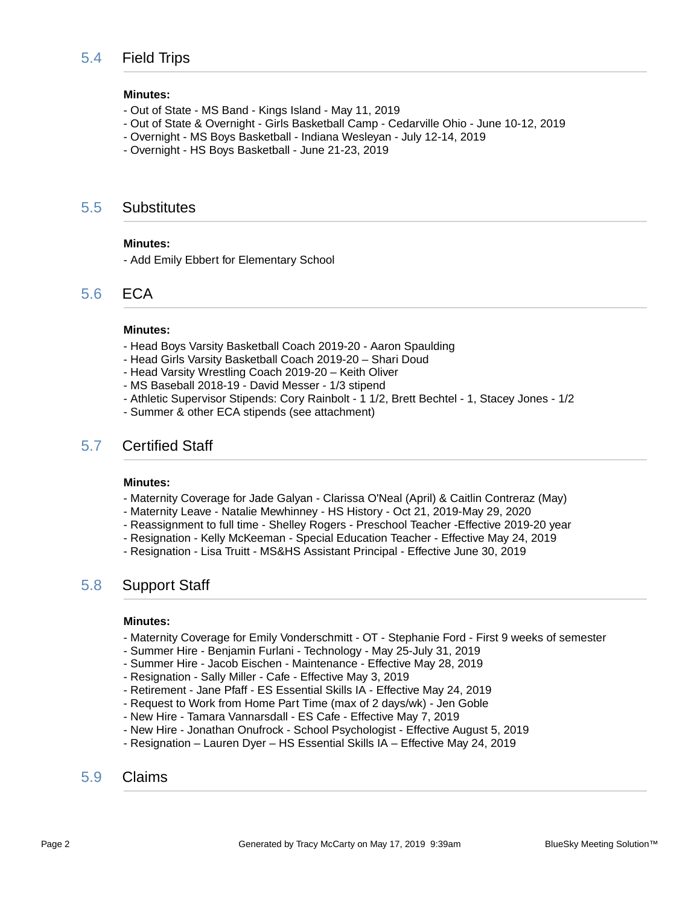#### **Minutes:**

- Out of State MS Band Kings Island May 11, 2019
- Out of State & Overnight Girls Basketball Camp Cedarville Ohio June 10-12, 2019
- Overnight MS Boys Basketball Indiana Wesleyan July 12-14, 2019
- Overnight HS Boys Basketball June 21-23, 2019

#### 5.5 Substitutes

#### **Minutes:**

- Add Emily Ebbert for Elementary School

### 5.6 ECA

#### **Minutes:**

- Head Boys Varsity Basketball Coach 2019-20 Aaron Spaulding
- Head Girls Varsity Basketball Coach 2019-20 Shari Doud
- Head Varsity Wrestling Coach 2019-20 Keith Oliver
- MS Baseball 2018-19 David Messer 1/3 stipend
- Athletic Supervisor Stipends: Cory Rainbolt 1 1/2, Brett Bechtel 1, Stacey Jones 1/2
- Summer & other ECA stipends (see attachment)

#### 5.7 Certified Staff

#### **Minutes:**

- Maternity Coverage for Jade Galyan Clarissa O'Neal (April) & Caitlin Contreraz (May)
- Maternity Leave Natalie Mewhinney HS History Oct 21, 2019-May 29, 2020
- Reassignment to full time Shelley Rogers Preschool Teacher -Effective 2019-20 year
- Resignation Kelly McKeeman Special Education Teacher Effective May 24, 2019
- Resignation Lisa Truitt MS&HS Assistant Principal Effective June 30, 2019

#### 5.8 Support Staff

#### **Minutes:**

- Maternity Coverage for Emily Vonderschmitt OT Stephanie Ford First 9 weeks of semester
- Summer Hire Benjamin Furlani Technology May 25-July 31, 2019
- Summer Hire Jacob Eischen Maintenance Effective May 28, 2019
- Resignation Sally Miller Cafe Effective May 3, 2019
- Retirement Jane Pfaff ES Essential Skills IA Effective May 24, 2019
- Request to Work from Home Part Time (max of 2 days/wk) Jen Goble
- New Hire Tamara Vannarsdall ES Cafe Effective May 7, 2019
- New Hire Jonathan Onufrock School Psychologist Effective August 5, 2019
- Resignation Lauren Dyer HS Essential Skills IA Effective May 24, 2019

#### 5.9 Claims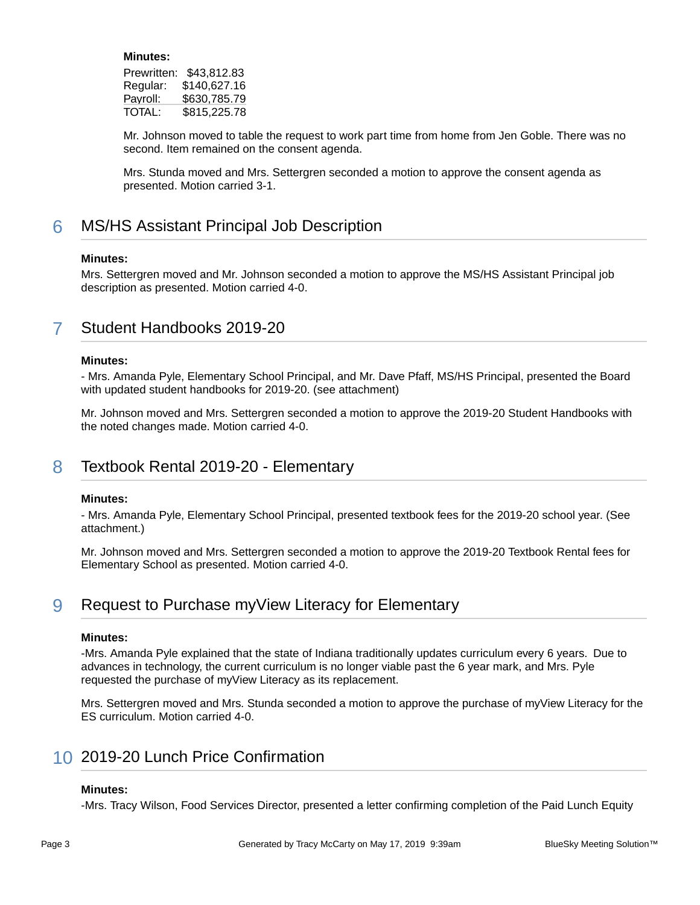#### **Minutes:**

| Prewritten: | \$43,812.83  |
|-------------|--------------|
| Regular:    | \$140.627.16 |
| Payroll:    | \$630,785.79 |
| TOTAL:      | \$815,225.78 |

Mr. Johnson moved to table the request to work part time from home from Jen Goble. There was no second. Item remained on the consent agenda.

Mrs. Stunda moved and Mrs. Settergren seconded a motion to approve the consent agenda as presented. Motion carried 3-1.

## **6** MS/HS Assistant Principal Job Description

#### **Minutes:**

Mrs. Settergren moved and Mr. Johnson seconded a motion to approve the MS/HS Assistant Principal job description as presented. Motion carried 4-0.

## 7 Student Handbooks 2019-20

#### **Minutes:**

- Mrs. Amanda Pyle, Elementary School Principal, and Mr. Dave Pfaff, MS/HS Principal, presented the Board with updated student handbooks for 2019-20. (see attachment)

Mr. Johnson moved and Mrs. Settergren seconded a motion to approve the 2019-20 Student Handbooks with the noted changes made. Motion carried 4-0.

## 8 Textbook Rental 2019-20 - Elementary

#### **Minutes:**

- Mrs. Amanda Pyle, Elementary School Principal, presented textbook fees for the 2019-20 school year. (See attachment.)

Mr. Johnson moved and Mrs. Settergren seconded a motion to approve the 2019-20 Textbook Rental fees for Elementary School as presented. Motion carried 4-0.

## 9 Request to Purchase myView Literacy for Elementary

#### **Minutes:**

-Mrs. Amanda Pyle explained that the state of Indiana traditionally updates curriculum every 6 years. Due to advances in technology, the current curriculum is no longer viable past the 6 year mark, and Mrs. Pyle requested the purchase of myView Literacy as its replacement.

Mrs. Settergren moved and Mrs. Stunda seconded a motion to approve the purchase of myView Literacy for the ES curriculum. Motion carried 4-0.

## 10 2019-20 Lunch Price Confirmation

#### **Minutes:**

-Mrs. Tracy Wilson, Food Services Director, presented a letter confirming completion of the Paid Lunch Equity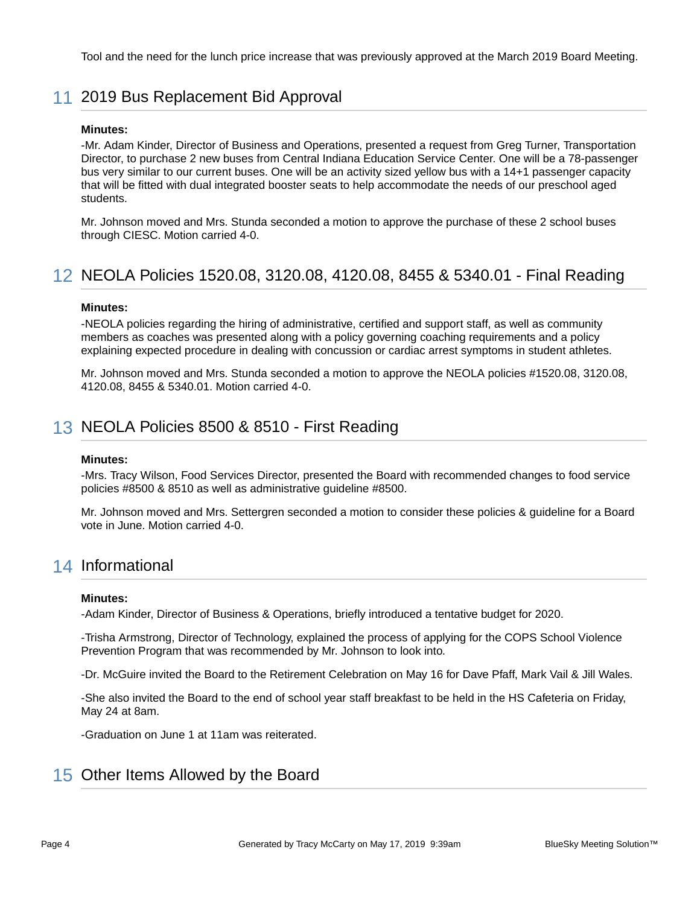Tool and the need for the lunch price increase that was previously approved at the March 2019 Board Meeting.

## 11 2019 Bus Replacement Bid Approval

#### **Minutes:**

-Mr. Adam Kinder, Director of Business and Operations, presented a request from Greg Turner, Transportation Director, to purchase 2 new buses from Central Indiana Education Service Center. One will be a 78-passenger bus very similar to our current buses. One will be an activity sized yellow bus with a 14+1 passenger capacity that will be fitted with dual integrated booster seats to help accommodate the needs of our preschool aged students.

Mr. Johnson moved and Mrs. Stunda seconded a motion to approve the purchase of these 2 school buses through CIESC. Motion carried 4-0.

## 12 NEOLA Policies 1520.08, 3120.08, 4120.08, 8455 & 5340.01 - Final Reading

#### **Minutes:**

-NEOLA policies regarding the hiring of administrative, certified and support staff, as well as community members as coaches was presented along with a policy governing coaching requirements and a policy explaining expected procedure in dealing with concussion or cardiac arrest symptoms in student athletes.

Mr. Johnson moved and Mrs. Stunda seconded a motion to approve the NEOLA policies #1520.08, 3120.08, 4120.08, 8455 & 5340.01. Motion carried 4-0.

## 13 NEOLA Policies 8500 & 8510 - First Reading

#### **Minutes:**

-Mrs. Tracy Wilson, Food Services Director, presented the Board with recommended changes to food service policies #8500 & 8510 as well as administrative guideline #8500.

Mr. Johnson moved and Mrs. Settergren seconded a motion to consider these policies & guideline for a Board vote in June. Motion carried 4-0.

### 14 Informational

#### **Minutes:**

-Adam Kinder, Director of Business & Operations, briefly introduced a tentative budget for 2020.

-Trisha Armstrong, Director of Technology, explained the process of applying for the COPS School Violence Prevention Program that was recommended by Mr. Johnson to look into.

-Dr. McGuire invited the Board to the Retirement Celebration on May 16 for Dave Pfaff, Mark Vail & Jill Wales.

-She also invited the Board to the end of school year staff breakfast to be held in the HS Cafeteria on Friday, May 24 at 8am.

-Graduation on June 1 at 11am was reiterated.

## 15 Other Items Allowed by the Board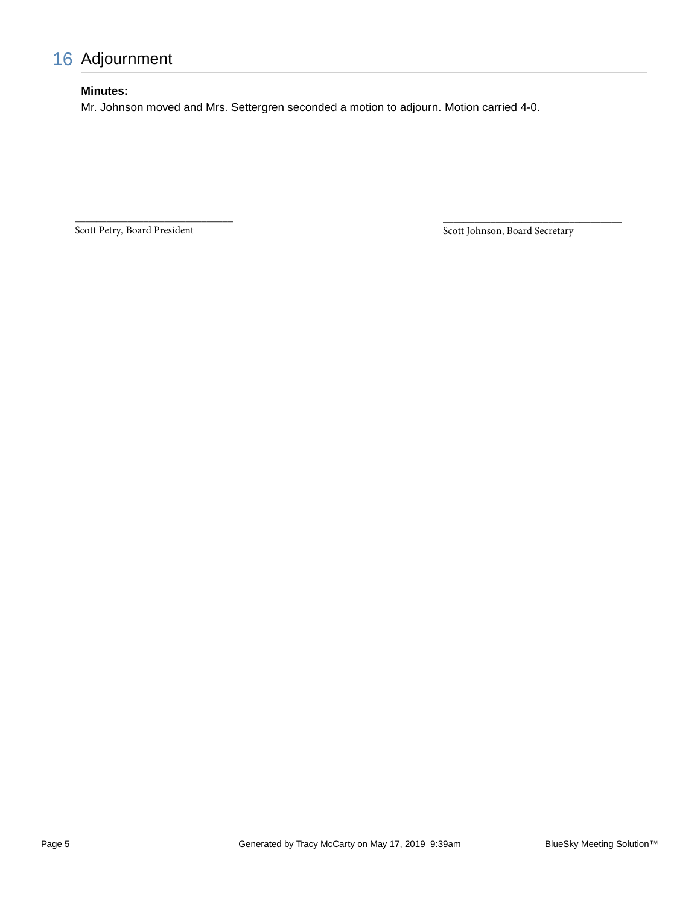## 16 Adjournment

#### **Minutes:**

Mr. Johnson moved and Mrs. Settergren seconded a motion to adjourn. Motion carried 4-0.

Scott Petry, Board President

\_\_\_\_\_\_\_\_\_\_\_\_\_\_\_\_\_\_\_\_\_\_\_\_\_\_\_\_\_\_

Scott Johnson, Board Secretary

\_\_\_\_\_\_\_\_\_\_\_\_\_\_\_\_\_\_\_\_\_\_\_\_\_\_\_\_\_\_\_\_\_\_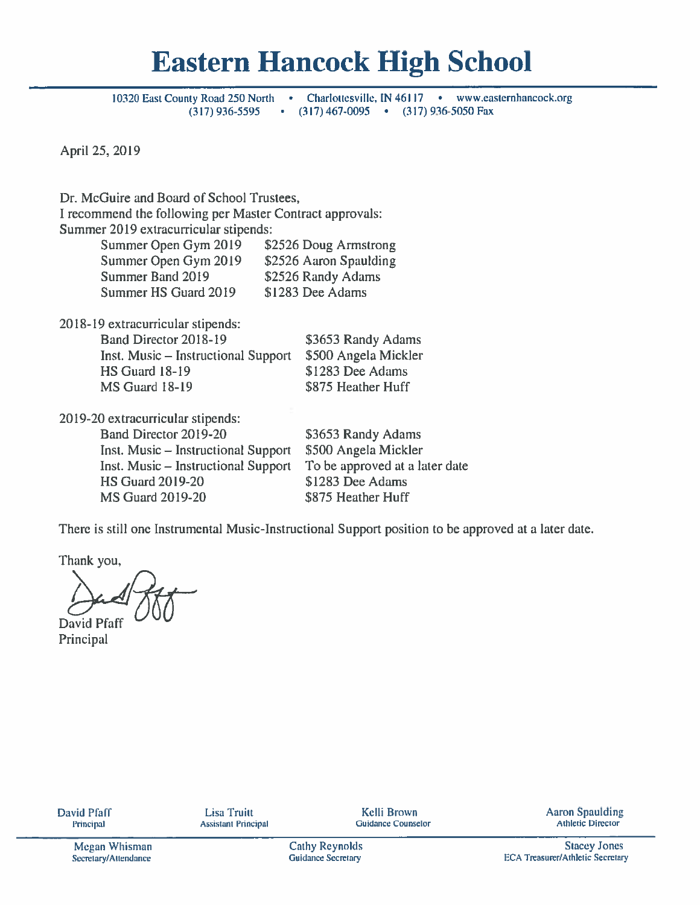# **Eastern Hancock High School**

10320 East County Road 250 North Charlottesville, IN  $46117 \cdot$ www.easternhancock.org  $\sim 100$  $(317)$  936-5595  $\bullet$  (317) 467-0095  $\bullet$ (317) 936-5050 Fax

April 25, 2019

Dr. McGuire and Board of School Trustees. I recommend the following per Master Contract approvals: Summer 2019 extracurricular stipends: Summer Open Gym 2019 \$2526 Doug Armstrong Summer Open Gym 2019 \$2526 Aaron Spaulding Summer Band 2019 \$2526 Randy Adams Summer HS Guard 2019 \$1283 Dee Adams

2018-19 extracurricular stipends:

| Band Director 2018-19               | \$3653 Randy Adams   |
|-------------------------------------|----------------------|
| Inst. Music – Instructional Support | \$500 Angela Mickler |
| <b>HS Guard 18-19</b>               | \$1283 Dee Adams     |
| MS Guard 18-19                      | \$875 Heather Huff   |
|                                     |                      |

2019-20 extracurricular stipends: Band Director 2019-20 Inst. Music – Instructional Support Inst. Music – Instructional Support **HS Guard 2019-20 MS Guard 2019-20** 

\$3653 Randy Adams \$500 Angela Mickler To be approved at a later date \$1283 Dee Adams \$875 Heather Huff

There is still one Instrumental Music-Instructional Support position to be approved at a later date.

Thank you,

**David Pfaff** 

Principal

**Lisa Truitt Assistant Principal** 

**Kelli Brown Guidance Counselor**  **Aaron Spaulding** Athletic Director

**Cathy Reynolds Guidance Secretary** 

**Stacey Jones ECA Treasurer/Athletic Secretary**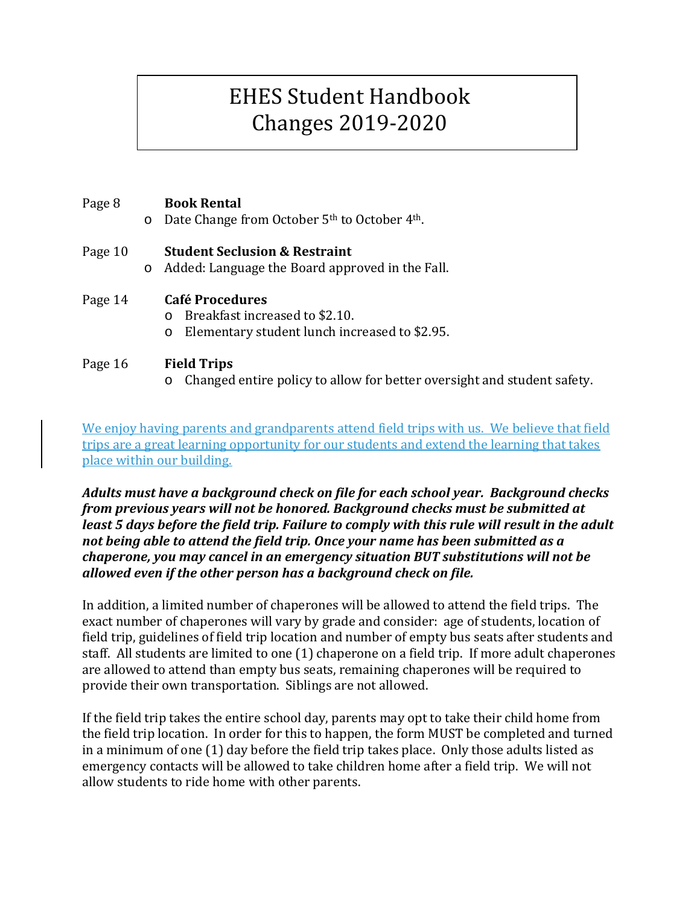## EHES Student Handbook Changes 2019-2020

## Page 8 **Book Rental**

o Date Change from October 5th to October 4th.

## Page 10 **Student Seclusion & Restraint**

o Added: Language the Board approved in the Fall.

# Page 14 **Café Procedures**<br> **Café Procedures**

Breakfast increased to \$2.10.

o Elementary student lunch increased to \$2.95.

## Page 16 **Field Trips**

o Changed entire policy to allow for better oversight and student safety.

We enjoy having parents and grandparents attend field trips with us. We believe that field trips are a great learning opportunity for our students and extend the learning that takes place within our building.

*Adults must have a background check on file for each school year. Background checks from previous years will not be honored. Background checks must be submitted at least 5 days before the field trip. Failure to comply with this rule will result in the adult not being able to attend the field trip. Once your name has been submitted as a chaperone, you may cancel in an emergency situation BUT substitutions will not be allowed even if the other person has a background check on file.* 

In addition, a limited number of chaperones will be allowed to attend the field trips. The exact number of chaperones will vary by grade and consider: age of students, location of field trip, guidelines of field trip location and number of empty bus seats after students and staff. All students are limited to one (1) chaperone on a field trip. If more adult chaperones are allowed to attend than empty bus seats, remaining chaperones will be required to provide their own transportation. Siblings are not allowed.

If the field trip takes the entire school day, parents may opt to take their child home from the field trip location. In order for this to happen, the form MUST be completed and turned in a minimum of one (1) day before the field trip takes place. Only those adults listed as emergency contacts will be allowed to take children home after a field trip. We will not allow students to ride home with other parents.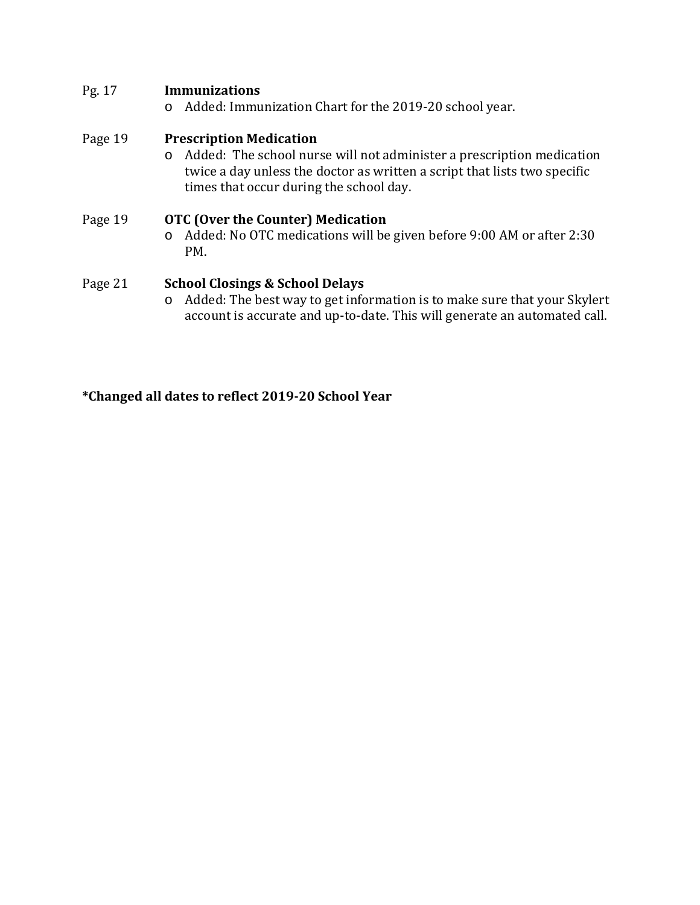## Pg. 17 **Immunizations**

o Added: Immunization Chart for the 2019-20 school year.

### Page 19 **Prescription Medication**

o Added: The school nurse will not administer a prescription medication twice a day unless the doctor as written a script that lists two specific times that occur during the school day.

## Page 19 **OTC (Over the Counter) Medication** o Added: No OTC medications will be given before 9:00 AM or after 2:30 PM.

### Page 21 **School Closings & School Delays**

o Added: The best way to get information is to make sure that your Skylert account is accurate and up-to-date. This will generate an automated call.

### **\*Changed all dates to reflect 2019-20 School Year**